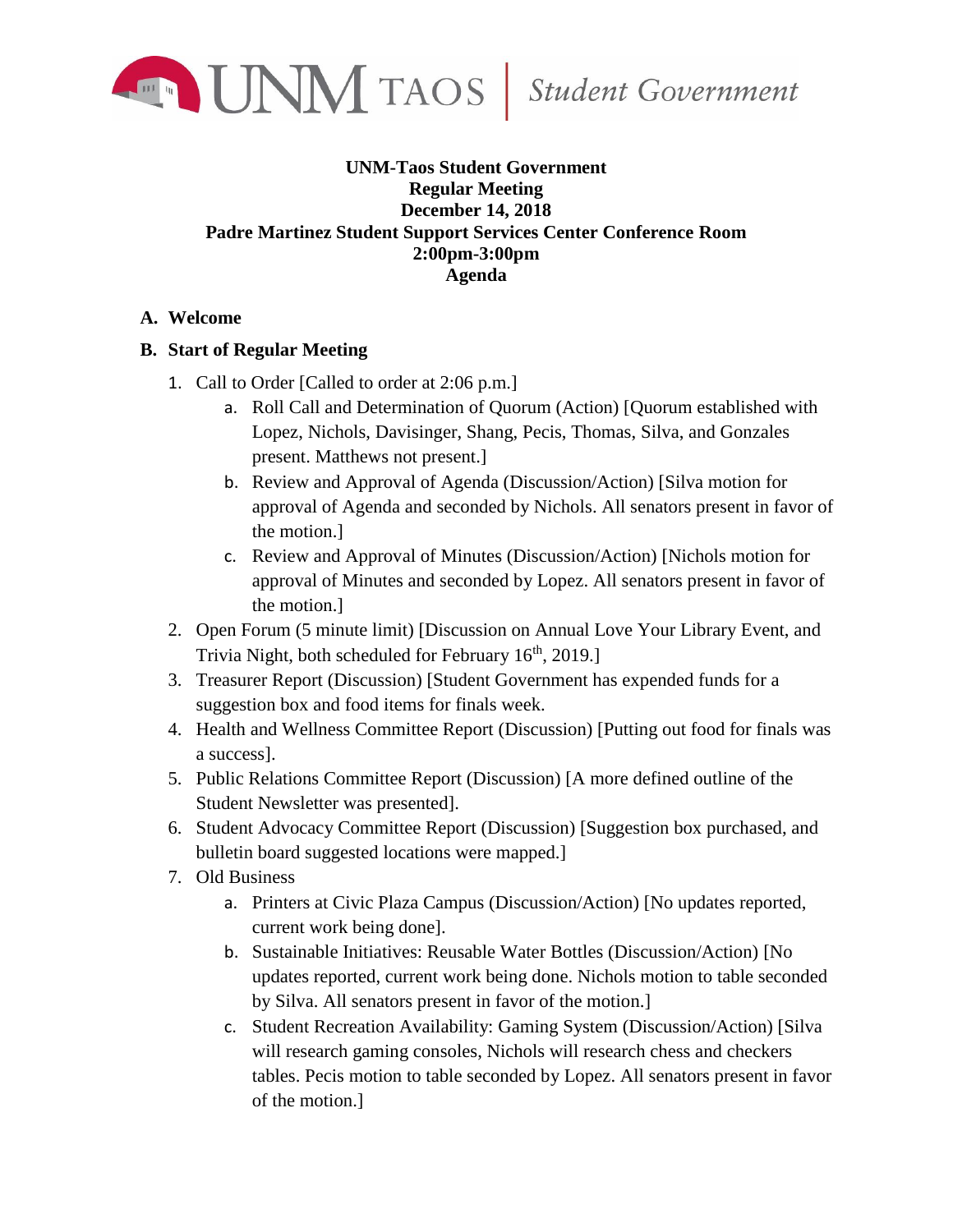

## **UNM-Taos Student Government Regular Meeting December 14, 2018 Padre Martinez Student Support Services Center Conference Room 2:00pm-3:00pm Agenda**

## **A. Welcome**

## **B. Start of Regular Meeting**

- 1. Call to Order [Called to order at 2:06 p.m.]
	- a. Roll Call and Determination of Quorum (Action) [Quorum established with Lopez, Nichols, Davisinger, Shang, Pecis, Thomas, Silva, and Gonzales present. Matthews not present.]
	- b. Review and Approval of Agenda (Discussion/Action) [Silva motion for approval of Agenda and seconded by Nichols. All senators present in favor of the motion.]
	- c. Review and Approval of Minutes (Discussion/Action) [Nichols motion for approval of Minutes and seconded by Lopez. All senators present in favor of the motion.]
- 2. Open Forum (5 minute limit) [Discussion on Annual Love Your Library Event, and Trivia Night, both scheduled for February  $16<sup>th</sup>$ , 2019.]
- 3. Treasurer Report (Discussion) [Student Government has expended funds for a suggestion box and food items for finals week.
- 4. Health and Wellness Committee Report (Discussion) [Putting out food for finals was a success].
- 5. Public Relations Committee Report (Discussion) [A more defined outline of the Student Newsletter was presented].
- 6. Student Advocacy Committee Report (Discussion) [Suggestion box purchased, and bulletin board suggested locations were mapped.]
- 7. Old Business
	- a. Printers at Civic Plaza Campus (Discussion/Action) [No updates reported, current work being done].
	- b. Sustainable Initiatives: Reusable Water Bottles (Discussion/Action) [No updates reported, current work being done. Nichols motion to table seconded by Silva. All senators present in favor of the motion.]
	- c. Student Recreation Availability: Gaming System (Discussion/Action) [Silva will research gaming consoles, Nichols will research chess and checkers tables. Pecis motion to table seconded by Lopez. All senators present in favor of the motion.]